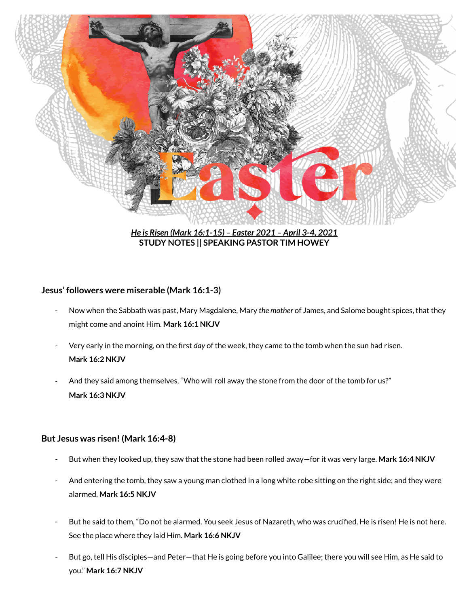

*He is Risen (Mark 16:1-15) – Easter 2021 – April 3-4, 2021* **STUDY NOTES || SPEAKING PASTOR TIM HOWEY**

### **Jesus' followers were miserable (Mark 16:1-3)**

- Now when the Sabbath was past, Mary Magdalene, Mary *the mother* of James, and Salome bought spices, that they might come and anoint Him. **Mark 16:1 NKJV**
- Very early in the morning, on the first *day* of the week, they came to the tomb when the sun had risen. **Mark 16:2 NKJV**
- And they said among themselves, "Who will roll away the stone from the door of the tomb for us?" **Mark 16:3 NKJV**

### **But Jesus was risen! (Mark 16:4-8)**

- But when they looked up, they saw that the stone had been rolled away—for it was very large. **Mark 16:4 NKJV**
- And entering the tomb, they saw a young man clothed in a long white robe sitting on the right side; and they were alarmed. **Mark 16:5 NKJV**
- But he said to them, "Do not be alarmed. You seek Jesus of Nazareth, who was crucified. He is risen! He is not here. See the place where they laid Him. **Mark 16:6 NKJV**
- But go, tell His disciples—and Peter—that He is going before you into Galilee; there you will see Him, as He said to you." **Mark 16:7 NKJV**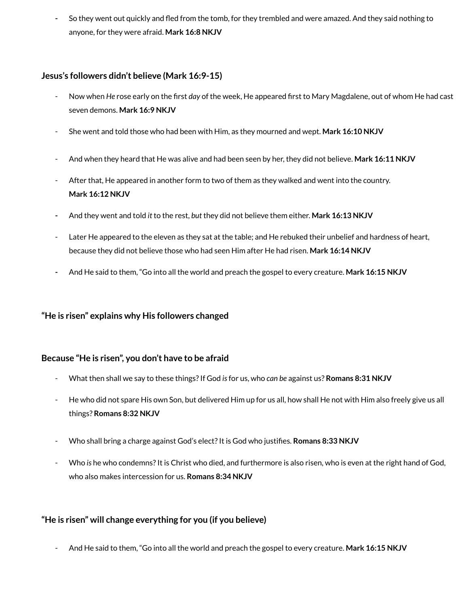**-** So they went out quickly and fled from the tomb, for they trembled and were amazed. And they said nothing to anyone, for they were afraid. **Mark 16:8 NKJV**

### **Jesus's followers didn't believe (Mark 16:9-15)**

- Now when *He* rose early on the first *day* of the week, He appeared first to Mary Magdalene, out of whom He had cast seven demons. **Mark 16:9 NKJV**
- She went and told those who had been with Him, as they mourned and wept. **Mark 16:10 NKJV**
- And when they heard that He was alive and had been seen by her, they did not believe. **Mark 16:11 NKJV**
- After that, He appeared in another form to two of them as they walked and went into the country. **Mark 16:12 NKJV**
- **-** And they went and told *it* to the rest, *but* they did not believe them either. **Mark 16:13 NKJV**
- Later He appeared to the eleven as they sat at the table; and He rebuked their unbelief and hardness of heart, because they did not believe those who had seen Him after He had risen. **Mark 16:14 NKJV**
- **-** And He said to them, "Go into all the world and preach the gospel to every creature. **Mark 16:15 NKJV**

# **"He is risen" explains why His followers changed**

# **Because "He is risen", you don't have to be afraid**

- What then shall we say to these things?If God *is*for us, who *can be* against us? **Romans 8:31 NKJV**
- He who did not spare His own Son, but delivered Him up for us all, how shall He not with Him also freely give us all things? **Romans 8:32 NKJV**
- Who shall bring a charge against God's elect?It is God who justifies. **Romans 8:33 NKJV**
- Who *is* he who condemns?It is Christ who died, and furthermore is also risen, who is even at the right hand of God, who also makes intercession for us. **Romans 8:34 NKJV**

# **"He is risen" will change everything for you (if you believe)**

- And He said to them, "Go into all the world and preach the gospel to every creature. **Mark 16:15 NKJV**